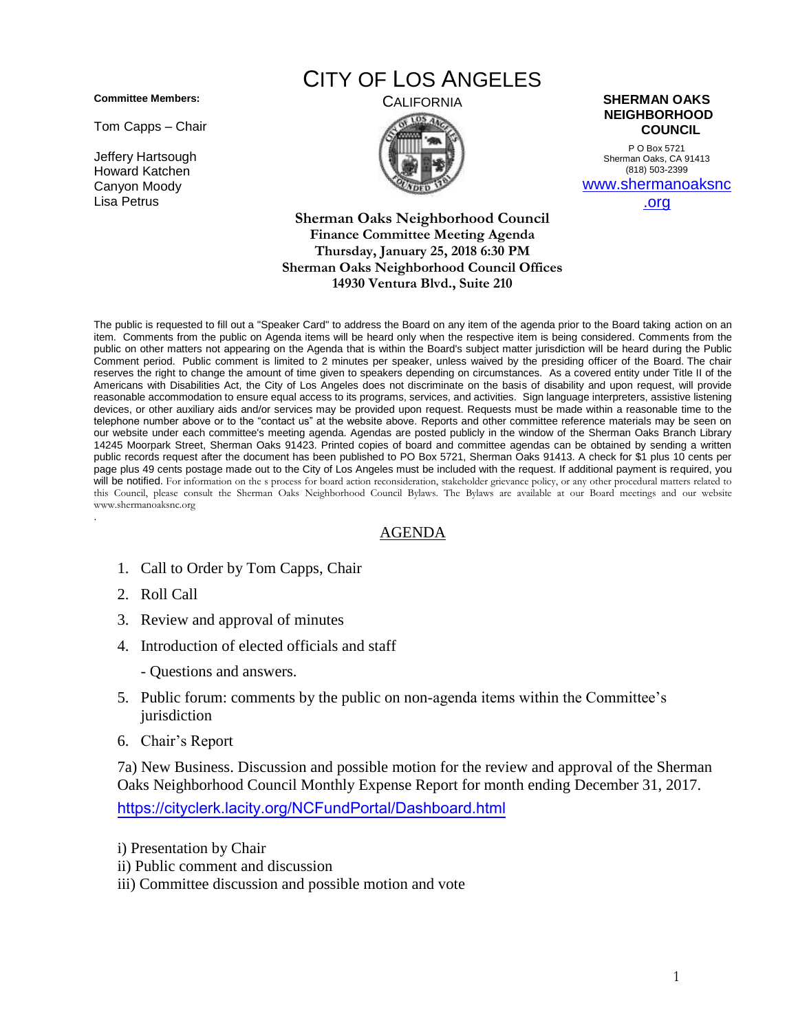**Committee Members:**

Tom Capps – Chair

Jeffery Hartsough Howard Katchen Canyon Moody Lisa Petrus

## CITY OF LOS ANGELES



## CALIFORNIA **SHERMAN OAKS NEIGHBORHOOD COUNCIL**

P O Box 5721 Sherman Oaks, CA 91413 (818) 503-2399 [www.shermanoaksnc](http://www.shermanoaksnc.org/)

[.org](http://www.shermanoaksnc.org/)

**Sherman Oaks Neighborhood Council Finance Committee Meeting Agenda Thursday, January 25, 2018 6:30 PM Sherman Oaks Neighborhood Council Offices 14930 Ventura Blvd., Suite 210**

The public is requested to fill out a "Speaker Card" to address the Board on any item of the agenda prior to the Board taking action on an item. Comments from the public on Agenda items will be heard only when the respective item is being considered. Comments from the public on other matters not appearing on the Agenda that is within the Board's subject matter jurisdiction will be heard during the Public Comment period. Public comment is limited to 2 minutes per speaker, unless waived by the presiding officer of the Board. The chair reserves the right to change the amount of time given to speakers depending on circumstances. As a covered entity under Title II of the Americans with Disabilities Act, the City of Los Angeles does not discriminate on the basis of disability and upon request, will provide reasonable accommodation to ensure equal access to its programs, services, and activities. Sign language interpreters, assistive listening devices, or other auxiliary aids and/or services may be provided upon request. Requests must be made within a reasonable time to the telephone number above or to the "contact us" at the website above. Reports and other committee reference materials may be seen on our website under each committee's meeting agenda. Agendas are posted publicly in the window of the Sherman Oaks Branch Library 14245 Moorpark Street, Sherman Oaks 91423. Printed copies of board and committee agendas can be obtained by sending a written public records request after the document has been published to PO Box 5721, Sherman Oaks 91413. A check for \$1 plus 10 cents per page plus 49 cents postage made out to the City of Los Angeles must be included with the request. If additional payment is required, you will be notified. For information on the s process for board action reconsideration, stakeholder grievance policy, or any other procedural matters related to this Council, please consult the Sherman Oaks Neighborhood Council Bylaws. The Bylaws are available at our Board meetings and our website www.shermanoaksnc.org .

## AGENDA

- 1. Call to Order by Tom Capps, Chair
- 2. Roll Call
- 3. Review and approval of minutes
- 4. Introduction of elected officials and staff
	- Questions and answers.
- 5. Public forum: comments by the public on non-agenda items within the Committee's jurisdiction
- 6. Chair's Report

7a) New Business. Discussion and possible motion for the review and approval of the Sherman Oaks Neighborhood Council Monthly Expense Report for month ending December 31, 2017. <https://cityclerk.lacity.org/NCFundPortal/Dashboard.html>

- i) Presentation by Chair
- ii) Public comment and discussion
- iii) Committee discussion and possible motion and vote